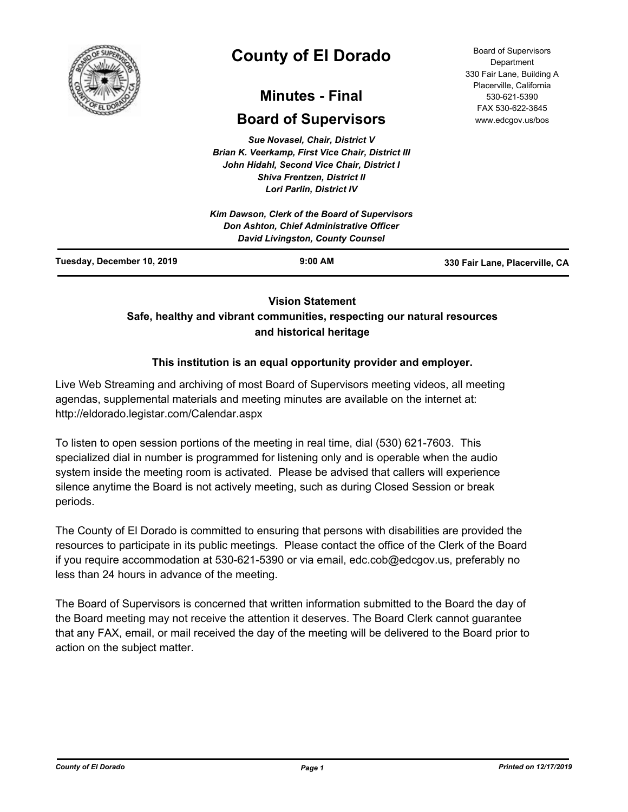

# **County of El Dorado**

# **Minutes - Final**

# **Board of Supervisors**

*Sue Novasel, Chair, District V Brian K. Veerkamp, First Vice Chair, District III John Hidahl, Second Vice Chair, District I Shiva Frentzen, District II Lori Parlin, District IV*

|                            | Kim Dawson, Clerk of the Board of Supervisors<br><b>Don Ashton, Chief Administrative Officer</b><br><b>David Livingston, County Counsel</b> |                                |
|----------------------------|---------------------------------------------------------------------------------------------------------------------------------------------|--------------------------------|
| Tuesday, December 10, 2019 | $9:00$ AM                                                                                                                                   | 330 Fair Lane, Placerville, CA |

# **Vision Statement**

# **Safe, healthy and vibrant communities, respecting our natural resources and historical heritage**

# **This institution is an equal opportunity provider and employer.**

Live Web Streaming and archiving of most Board of Supervisors meeting videos, all meeting agendas, supplemental materials and meeting minutes are available on the internet at: http://eldorado.legistar.com/Calendar.aspx

To listen to open session portions of the meeting in real time, dial (530) 621-7603. This specialized dial in number is programmed for listening only and is operable when the audio system inside the meeting room is activated. Please be advised that callers will experience silence anytime the Board is not actively meeting, such as during Closed Session or break periods.

The County of El Dorado is committed to ensuring that persons with disabilities are provided the resources to participate in its public meetings. Please contact the office of the Clerk of the Board if you require accommodation at 530-621-5390 or via email, edc.cob@edcgov.us, preferably no less than 24 hours in advance of the meeting.

The Board of Supervisors is concerned that written information submitted to the Board the day of the Board meeting may not receive the attention it deserves. The Board Clerk cannot guarantee that any FAX, email, or mail received the day of the meeting will be delivered to the Board prior to action on the subject matter.

Board of Supervisors Department 330 Fair Lane, Building A Placerville, California 530-621-5390 FAX 530-622-3645 www.edcgov.us/bos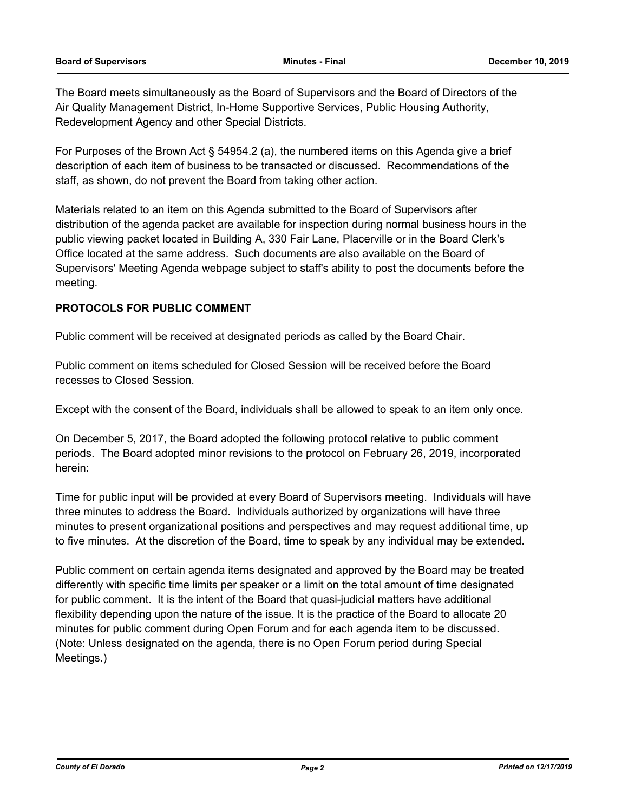The Board meets simultaneously as the Board of Supervisors and the Board of Directors of the Air Quality Management District, In-Home Supportive Services, Public Housing Authority, Redevelopment Agency and other Special Districts.

For Purposes of the Brown Act § 54954.2 (a), the numbered items on this Agenda give a brief description of each item of business to be transacted or discussed. Recommendations of the staff, as shown, do not prevent the Board from taking other action.

Materials related to an item on this Agenda submitted to the Board of Supervisors after distribution of the agenda packet are available for inspection during normal business hours in the public viewing packet located in Building A, 330 Fair Lane, Placerville or in the Board Clerk's Office located at the same address. Such documents are also available on the Board of Supervisors' Meeting Agenda webpage subject to staff's ability to post the documents before the meeting.

# **PROTOCOLS FOR PUBLIC COMMENT**

Public comment will be received at designated periods as called by the Board Chair.

Public comment on items scheduled for Closed Session will be received before the Board recesses to Closed Session.

Except with the consent of the Board, individuals shall be allowed to speak to an item only once.

On December 5, 2017, the Board adopted the following protocol relative to public comment periods. The Board adopted minor revisions to the protocol on February 26, 2019, incorporated herein:

Time for public input will be provided at every Board of Supervisors meeting. Individuals will have three minutes to address the Board. Individuals authorized by organizations will have three minutes to present organizational positions and perspectives and may request additional time, up to five minutes. At the discretion of the Board, time to speak by any individual may be extended.

Public comment on certain agenda items designated and approved by the Board may be treated differently with specific time limits per speaker or a limit on the total amount of time designated for public comment. It is the intent of the Board that quasi-judicial matters have additional flexibility depending upon the nature of the issue. It is the practice of the Board to allocate 20 minutes for public comment during Open Forum and for each agenda item to be discussed. (Note: Unless designated on the agenda, there is no Open Forum period during Special Meetings.)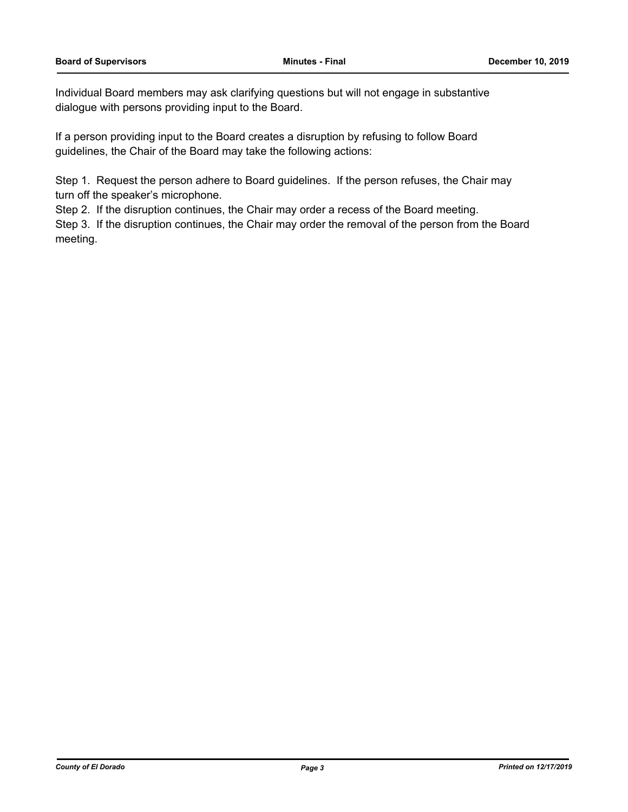Individual Board members may ask clarifying questions but will not engage in substantive dialogue with persons providing input to the Board.

If a person providing input to the Board creates a disruption by refusing to follow Board guidelines, the Chair of the Board may take the following actions:

Step 1. Request the person adhere to Board guidelines. If the person refuses, the Chair may turn off the speaker's microphone.

Step 2. If the disruption continues, the Chair may order a recess of the Board meeting.

Step 3. If the disruption continues, the Chair may order the removal of the person from the Board meeting.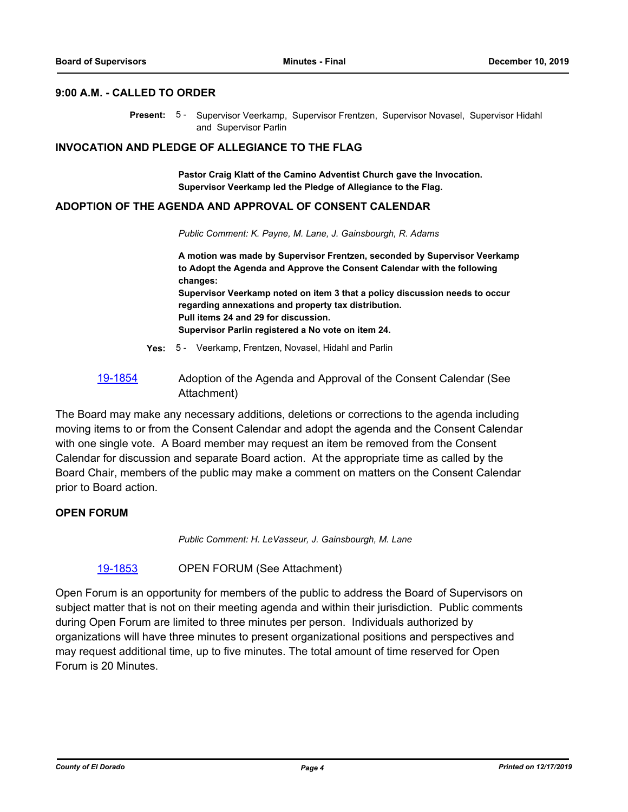#### **9:00 A.M. - CALLED TO ORDER**

Present: 5 - Supervisor Veerkamp, Supervisor Frentzen, Supervisor Novasel, Supervisor Hidahl and Supervisor Parlin

#### **INVOCATION AND PLEDGE OF ALLEGIANCE TO THE FLAG**

**Pastor Craig Klatt of the Camino Adventist Church gave the Invocation. Supervisor Veerkamp led the Pledge of Allegiance to the Flag.**

#### **ADOPTION OF THE AGENDA AND APPROVAL OF CONSENT CALENDAR**

*Public Comment: K. Payne, M. Lane, J. Gainsbourgh, R. Adams*

**A motion was made by Supervisor Frentzen, seconded by Supervisor Veerkamp to Adopt the Agenda and Approve the Consent Calendar with the following changes: Supervisor Veerkamp noted on item 3 that a policy discussion needs to occur regarding annexations and property tax distribution. Pull items 24 and 29 for discussion. Supervisor Parlin registered a No vote on item 24.**

**Yes:** 5 - Veerkamp, Frentzen, Novasel, Hidahl and Parlin

# [19-1854](http://eldorado.legistar.com/gateway.aspx?m=l&id=/matter.aspx?key=27178) Adoption of the Agenda and Approval of the Consent Calendar (See Attachment)

The Board may make any necessary additions, deletions or corrections to the agenda including moving items to or from the Consent Calendar and adopt the agenda and the Consent Calendar with one single vote. A Board member may request an item be removed from the Consent Calendar for discussion and separate Board action. At the appropriate time as called by the Board Chair, members of the public may make a comment on matters on the Consent Calendar prior to Board action.

### **OPEN FORUM**

*Public Comment: H. LeVasseur, J. Gainsbourgh, M. Lane*

#### [19-1853](http://eldorado.legistar.com/gateway.aspx?m=l&id=/matter.aspx?key=27177) OPEN FORUM (See Attachment)

Open Forum is an opportunity for members of the public to address the Board of Supervisors on subject matter that is not on their meeting agenda and within their jurisdiction. Public comments during Open Forum are limited to three minutes per person. Individuals authorized by organizations will have three minutes to present organizational positions and perspectives and may request additional time, up to five minutes. The total amount of time reserved for Open Forum is 20 Minutes.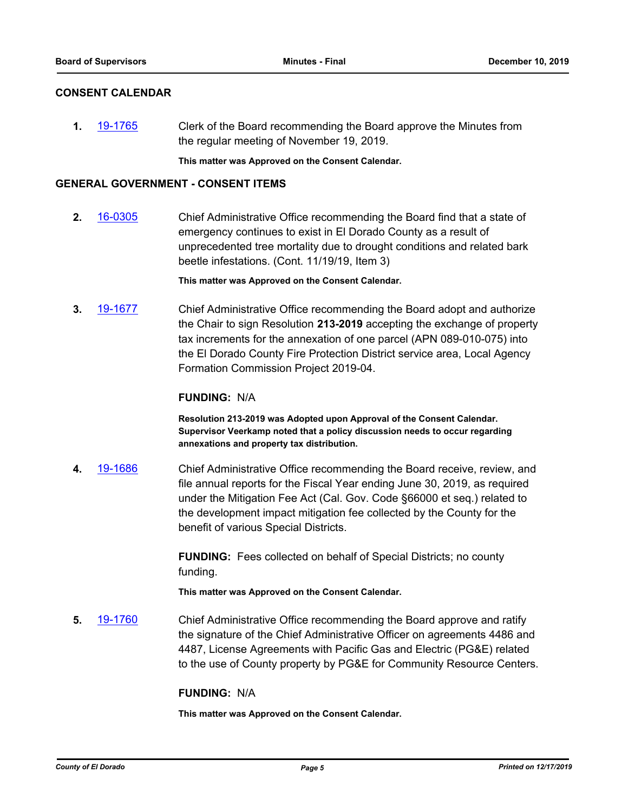## **CONSENT CALENDAR**

**1.** [19-1765](http://eldorado.legistar.com/gateway.aspx?m=l&id=/matter.aspx?key=27089) Clerk of the Board recommending the Board approve the Minutes from the regular meeting of November 19, 2019.

**This matter was Approved on the Consent Calendar.**

### **GENERAL GOVERNMENT - CONSENT ITEMS**

**2.** [16-0305](http://eldorado.legistar.com/gateway.aspx?m=l&id=/matter.aspx?key=20961) Chief Administrative Office recommending the Board find that a state of emergency continues to exist in El Dorado County as a result of unprecedented tree mortality due to drought conditions and related bark beetle infestations. (Cont. 11/19/19, Item 3)

**This matter was Approved on the Consent Calendar.**

**3.** [19-1677](http://eldorado.legistar.com/gateway.aspx?m=l&id=/matter.aspx?key=27001) Chief Administrative Office recommending the Board adopt and authorize the Chair to sign Resolution **213-2019** accepting the exchange of property tax increments for the annexation of one parcel (APN 089-010-075) into the El Dorado County Fire Protection District service area, Local Agency Formation Commission Project 2019-04.

### **FUNDING:** N/A

**Resolution 213-2019 was Adopted upon Approval of the Consent Calendar. Supervisor Veerkamp noted that a policy discussion needs to occur regarding annexations and property tax distribution.**

**4.** [19-1686](http://eldorado.legistar.com/gateway.aspx?m=l&id=/matter.aspx?key=27010) Chief Administrative Office recommending the Board receive, review, and file annual reports for the Fiscal Year ending June 30, 2019, as required under the Mitigation Fee Act (Cal. Gov. Code §66000 et seq.) related to the development impact mitigation fee collected by the County for the benefit of various Special Districts.

> **FUNDING:** Fees collected on behalf of Special Districts; no county funding.

**This matter was Approved on the Consent Calendar.**

**5.** [19-1760](http://eldorado.legistar.com/gateway.aspx?m=l&id=/matter.aspx?key=27084) Chief Administrative Office recommending the Board approve and ratify the signature of the Chief Administrative Officer on agreements 4486 and 4487, License Agreements with Pacific Gas and Electric (PG&E) related to the use of County property by PG&E for Community Resource Centers.

#### **FUNDING:** N/A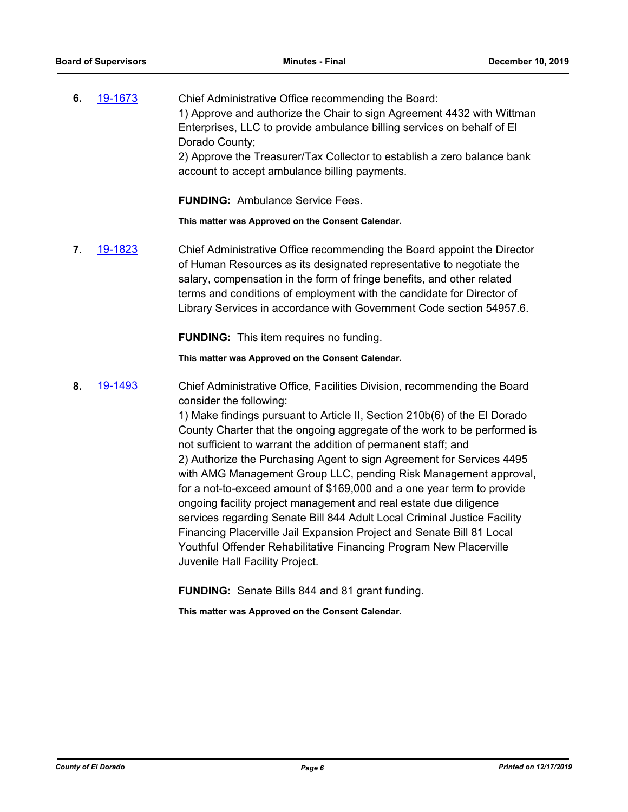**6.** [19-1673](http://eldorado.legistar.com/gateway.aspx?m=l&id=/matter.aspx?key=26997) Chief Administrative Office recommending the Board: 1) Approve and authorize the Chair to sign Agreement 4432 with Wittman Enterprises, LLC to provide ambulance billing services on behalf of El Dorado County; 2) Approve the Treasurer/Tax Collector to establish a zero balance bank account to accept ambulance billing payments.

**FUNDING:** Ambulance Service Fees.

**This matter was Approved on the Consent Calendar.**

**7.** [19-1823](http://eldorado.legistar.com/gateway.aspx?m=l&id=/matter.aspx?key=27147) Chief Administrative Office recommending the Board appoint the Director of Human Resources as its designated representative to negotiate the salary, compensation in the form of fringe benefits, and other related terms and conditions of employment with the candidate for Director of Library Services in accordance with Government Code section 54957.6.

**FUNDING:** This item requires no funding.

**This matter was Approved on the Consent Calendar.**

**8.** [19-1493](http://eldorado.legistar.com/gateway.aspx?m=l&id=/matter.aspx?key=26815) Chief Administrative Office, Facilities Division, recommending the Board consider the following:

> 1) Make findings pursuant to Article II, Section 210b(6) of the El Dorado County Charter that the ongoing aggregate of the work to be performed is not sufficient to warrant the addition of permanent staff; and 2) Authorize the Purchasing Agent to sign Agreement for Services 4495 with AMG Management Group LLC, pending Risk Management approval, for a not-to-exceed amount of \$169,000 and a one year term to provide ongoing facility project management and real estate due diligence services regarding Senate Bill 844 Adult Local Criminal Justice Facility Financing Placerville Jail Expansion Project and Senate Bill 81 Local Youthful Offender Rehabilitative Financing Program New Placerville Juvenile Hall Facility Project.

**FUNDING:** Senate Bills 844 and 81 grant funding.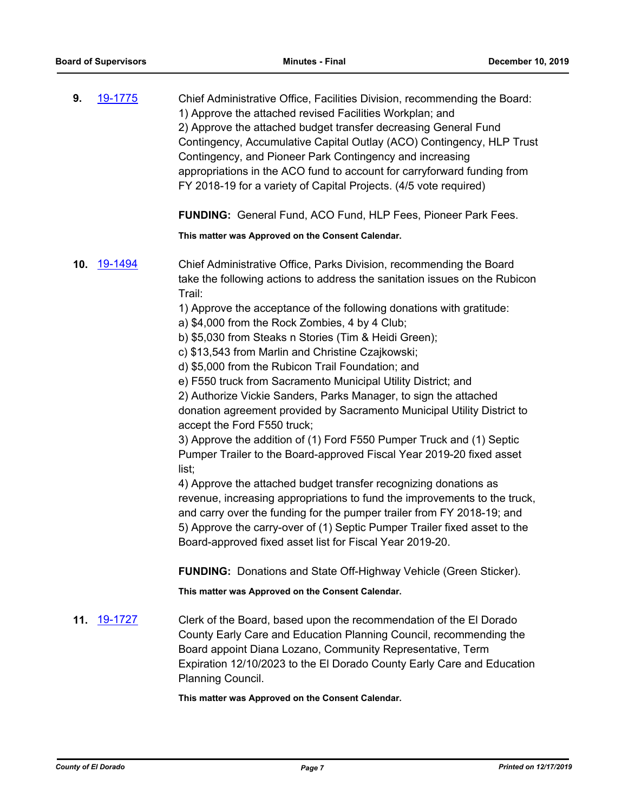| 9. | 19-1775     | Chief Administrative Office, Facilities Division, recommending the Board:<br>1) Approve the attached revised Facilities Workplan; and<br>2) Approve the attached budget transfer decreasing General Fund<br>Contingency, Accumulative Capital Outlay (ACO) Contingency, HLP Trust<br>Contingency, and Pioneer Park Contingency and increasing<br>appropriations in the ACO fund to account for carryforward funding from<br>FY 2018-19 for a variety of Capital Projects. (4/5 vote required)                                                                                                                                                                                                                                                                                                                                                                                                                                                                                                                                                                                                                                                                                                                                        |
|----|-------------|--------------------------------------------------------------------------------------------------------------------------------------------------------------------------------------------------------------------------------------------------------------------------------------------------------------------------------------------------------------------------------------------------------------------------------------------------------------------------------------------------------------------------------------------------------------------------------------------------------------------------------------------------------------------------------------------------------------------------------------------------------------------------------------------------------------------------------------------------------------------------------------------------------------------------------------------------------------------------------------------------------------------------------------------------------------------------------------------------------------------------------------------------------------------------------------------------------------------------------------|
|    |             | <b>FUNDING:</b> General Fund, ACO Fund, HLP Fees, Pioneer Park Fees.                                                                                                                                                                                                                                                                                                                                                                                                                                                                                                                                                                                                                                                                                                                                                                                                                                                                                                                                                                                                                                                                                                                                                                 |
|    |             | This matter was Approved on the Consent Calendar.                                                                                                                                                                                                                                                                                                                                                                                                                                                                                                                                                                                                                                                                                                                                                                                                                                                                                                                                                                                                                                                                                                                                                                                    |
|    | 10. 19-1494 | Chief Administrative Office, Parks Division, recommending the Board<br>take the following actions to address the sanitation issues on the Rubicon<br>Trail:<br>1) Approve the acceptance of the following donations with gratitude:<br>a) \$4,000 from the Rock Zombies, 4 by 4 Club;<br>b) \$5,030 from Steaks n Stories (Tim & Heidi Green);<br>c) \$13,543 from Marlin and Christine Czajkowski;<br>d) \$5,000 from the Rubicon Trail Foundation; and<br>e) F550 truck from Sacramento Municipal Utility District; and<br>2) Authorize Vickie Sanders, Parks Manager, to sign the attached<br>donation agreement provided by Sacramento Municipal Utility District to<br>accept the Ford F550 truck;<br>3) Approve the addition of (1) Ford F550 Pumper Truck and (1) Septic<br>Pumper Trailer to the Board-approved Fiscal Year 2019-20 fixed asset<br>list;<br>4) Approve the attached budget transfer recognizing donations as<br>revenue, increasing appropriations to fund the improvements to the truck,<br>and carry over the funding for the pumper trailer from FY 2018-19; and<br>5) Approve the carry-over of (1) Septic Pumper Trailer fixed asset to the<br>Board-approved fixed asset list for Fiscal Year 2019-20. |

**FUNDING:** Donations and State Off-Highway Vehicle (Green Sticker).

**This matter was Approved on the Consent Calendar.**

**11.** [19-1727](http://eldorado.legistar.com/gateway.aspx?m=l&id=/matter.aspx?key=27051) Clerk of the Board, based upon the recommendation of the El Dorado County Early Care and Education Planning Council, recommending the Board appoint Diana Lozano, Community Representative, Term Expiration 12/10/2023 to the El Dorado County Early Care and Education Planning Council.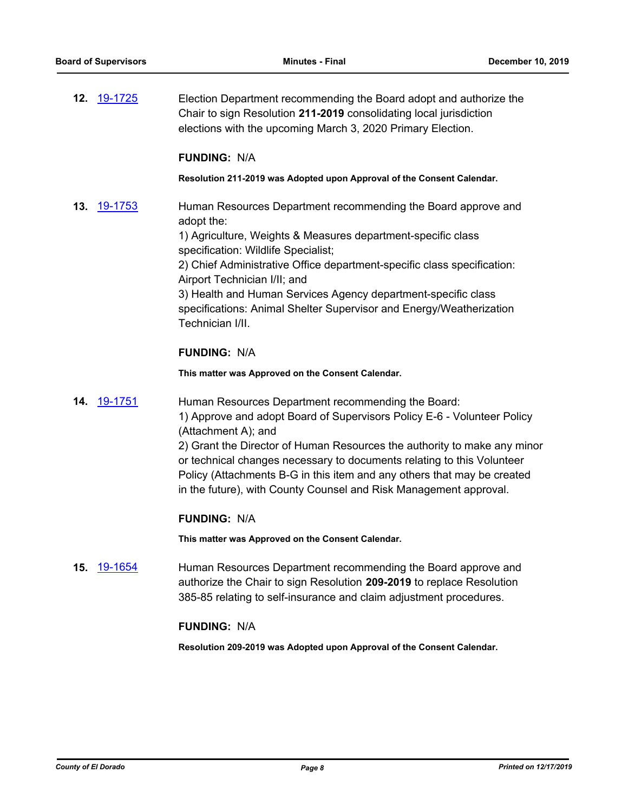**12.** [19-1725](http://eldorado.legistar.com/gateway.aspx?m=l&id=/matter.aspx?key=27049) Election Department recommending the Board adopt and authorize the Chair to sign Resolution **211-2019** consolidating local jurisdiction elections with the upcoming March 3, 2020 Primary Election.

## **FUNDING:** N/A

#### **Resolution 211-2019 was Adopted upon Approval of the Consent Calendar.**

**13.** [19-1753](http://eldorado.legistar.com/gateway.aspx?m=l&id=/matter.aspx?key=27077) Human Resources Department recommending the Board approve and adopt the:

> 1) Agriculture, Weights & Measures department-specific class specification: Wildlife Specialist;

2) Chief Administrative Office department-specific class specification: Airport Technician I/II; and

3) Health and Human Services Agency department-specific class specifications: Animal Shelter Supervisor and Energy/Weatherization Technician I/II.

# **FUNDING:** N/A

**This matter was Approved on the Consent Calendar.**

**14.** [19-1751](http://eldorado.legistar.com/gateway.aspx?m=l&id=/matter.aspx?key=27075) Human Resources Department recommending the Board: 1) Approve and adopt Board of Supervisors Policy E-6 - Volunteer Policy (Attachment A); and 2) Grant the Director of Human Resources the authority to make any minor

or technical changes necessary to documents relating to this Volunteer Policy (Attachments B-G in this item and any others that may be created in the future), with County Counsel and Risk Management approval.

# **FUNDING:** N/A

**This matter was Approved on the Consent Calendar.**

**15.** [19-1654](http://eldorado.legistar.com/gateway.aspx?m=l&id=/matter.aspx?key=26978) Human Resources Department recommending the Board approve and authorize the Chair to sign Resolution **209-2019** to replace Resolution 385-85 relating to self-insurance and claim adjustment procedures.

# **FUNDING:** N/A

**Resolution 209-2019 was Adopted upon Approval of the Consent Calendar.**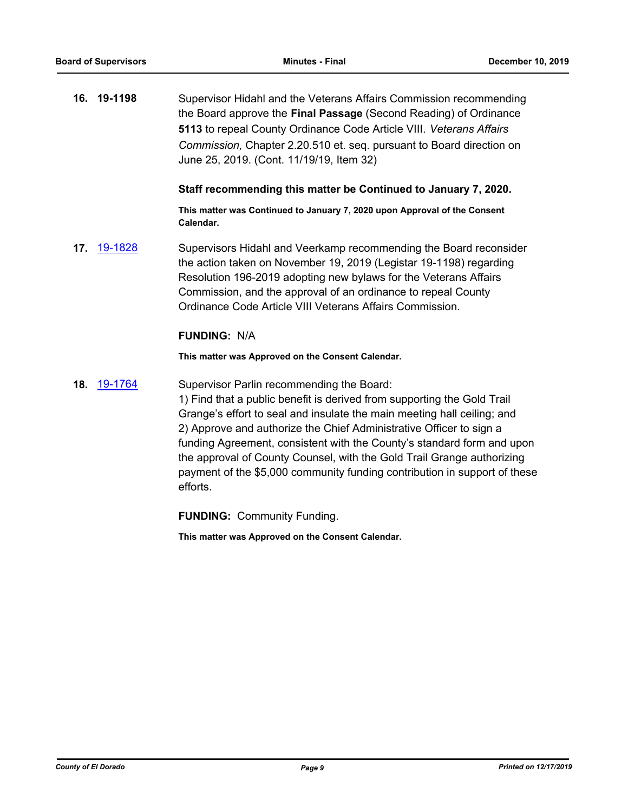**16. 19-1198** Supervisor Hidahl and the Veterans Affairs Commission recommending the Board approve the **Final Passage** (Second Reading) of Ordinance **5113** to repeal County Ordinance Code Article VIII. *Veterans Affairs Commission,* Chapter 2.20.510 et. seq. pursuant to Board direction on June 25, 2019. (Cont. 11/19/19, Item 32)

#### **Staff recommending this matter be Continued to January 7, 2020.**

**This matter was Continued to January 7, 2020 upon Approval of the Consent Calendar.**

**17.** [19-1828](http://eldorado.legistar.com/gateway.aspx?m=l&id=/matter.aspx?key=27152) Supervisors Hidahl and Veerkamp recommending the Board reconsider the action taken on November 19, 2019 (Legistar 19-1198) regarding Resolution 196-2019 adopting new bylaws for the Veterans Affairs Commission, and the approval of an ordinance to repeal County Ordinance Code Article VIII Veterans Affairs Commission.

#### **FUNDING:** N/A

**This matter was Approved on the Consent Calendar.**

**18.** [19-1764](http://eldorado.legistar.com/gateway.aspx?m=l&id=/matter.aspx?key=27088) Supervisor Parlin recommending the Board:

1) Find that a public benefit is derived from supporting the Gold Trail Grange's effort to seal and insulate the main meeting hall ceiling; and 2) Approve and authorize the Chief Administrative Officer to sign a funding Agreement, consistent with the County's standard form and upon the approval of County Counsel, with the Gold Trail Grange authorizing payment of the \$5,000 community funding contribution in support of these efforts.

**FUNDING:** Community Funding.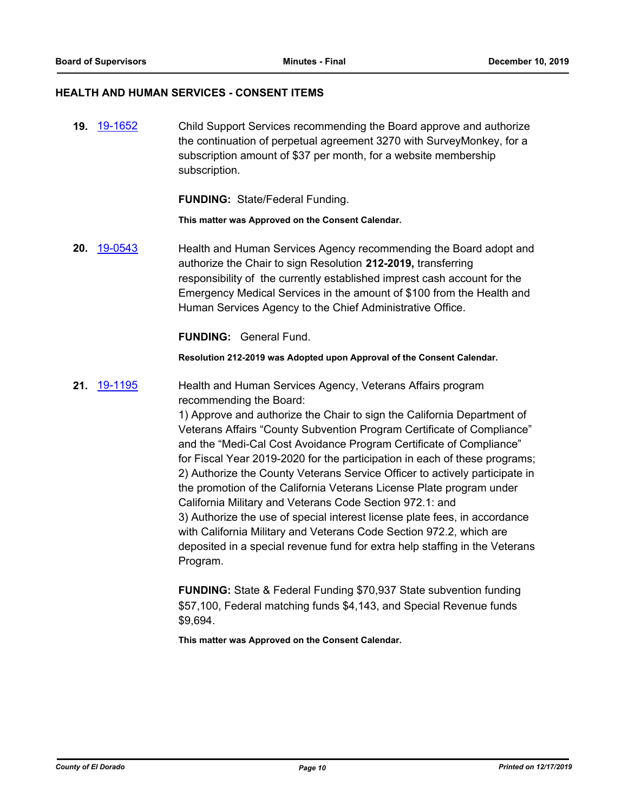#### **HEALTH AND HUMAN SERVICES - CONSENT ITEMS**

**19.** [19-1652](http://eldorado.legistar.com/gateway.aspx?m=l&id=/matter.aspx?key=26976) Child Support Services recommending the Board approve and authorize the continuation of perpetual agreement 3270 with SurveyMonkey, for a subscription amount of \$37 per month, for a website membership subscription.

**FUNDING:** State/Federal Funding.

**This matter was Approved on the Consent Calendar.**

**20.** [19-0543](http://eldorado.legistar.com/gateway.aspx?m=l&id=/matter.aspx?key=25864) Health and Human Services Agency recommending the Board adopt and authorize the Chair to sign Resolution **212-2019,** transferring responsibility of the currently established imprest cash account for the Emergency Medical Services in the amount of \$100 from the Health and Human Services Agency to the Chief Administrative Office.

**FUNDING:** General Fund.

**Resolution 212-2019 was Adopted upon Approval of the Consent Calendar.**

**21.** [19-1195](http://eldorado.legistar.com/gateway.aspx?m=l&id=/matter.aspx?key=26518) Health and Human Services Agency, Veterans Affairs program recommending the Board:

> 1) Approve and authorize the Chair to sign the California Department of Veterans Affairs "County Subvention Program Certificate of Compliance" and the "Medi-Cal Cost Avoidance Program Certificate of Compliance" for Fiscal Year 2019-2020 for the participation in each of these programs; 2) Authorize the County Veterans Service Officer to actively participate in the promotion of the California Veterans License Plate program under California Military and Veterans Code Section 972.1: and 3) Authorize the use of special interest license plate fees, in accordance with California Military and Veterans Code Section 972.2, which are deposited in a special revenue fund for extra help staffing in the Veterans Program.

**FUNDING:** State & Federal Funding \$70,937 State subvention funding \$57,100, Federal matching funds \$4,143, and Special Revenue funds \$9,694.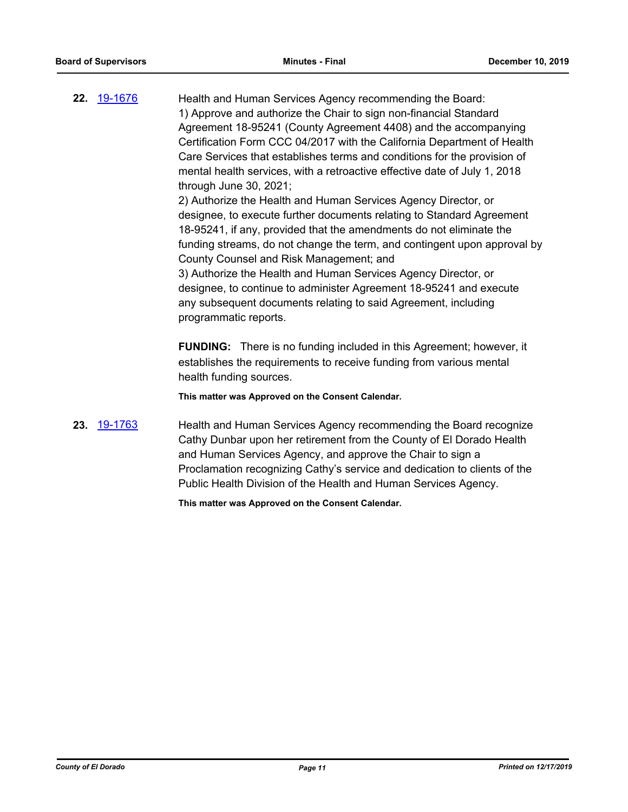**22.** [19-1676](http://eldorado.legistar.com/gateway.aspx?m=l&id=/matter.aspx?key=27000) Health and Human Services Agency recommending the Board: 1) Approve and authorize the Chair to sign non-financial Standard Agreement 18-95241 (County Agreement 4408) and the accompanying Certification Form CCC 04/2017 with the California Department of Health Care Services that establishes terms and conditions for the provision of mental health services, with a retroactive effective date of July 1, 2018 through June 30, 2021; 2) Authorize the Health and Human Services Agency Director, or

designee, to execute further documents relating to Standard Agreement 18-95241, if any, provided that the amendments do not eliminate the funding streams, do not change the term, and contingent upon approval by County Counsel and Risk Management; and

3) Authorize the Health and Human Services Agency Director, or designee, to continue to administer Agreement 18-95241 and execute any subsequent documents relating to said Agreement, including programmatic reports.

**FUNDING:** There is no funding included in this Agreement; however, it establishes the requirements to receive funding from various mental health funding sources.

**This matter was Approved on the Consent Calendar.**

**23.** [19-1763](http://eldorado.legistar.com/gateway.aspx?m=l&id=/matter.aspx?key=27087) Health and Human Services Agency recommending the Board recognize Cathy Dunbar upon her retirement from the County of El Dorado Health and Human Services Agency, and approve the Chair to sign a Proclamation recognizing Cathy's service and dedication to clients of the Public Health Division of the Health and Human Services Agency.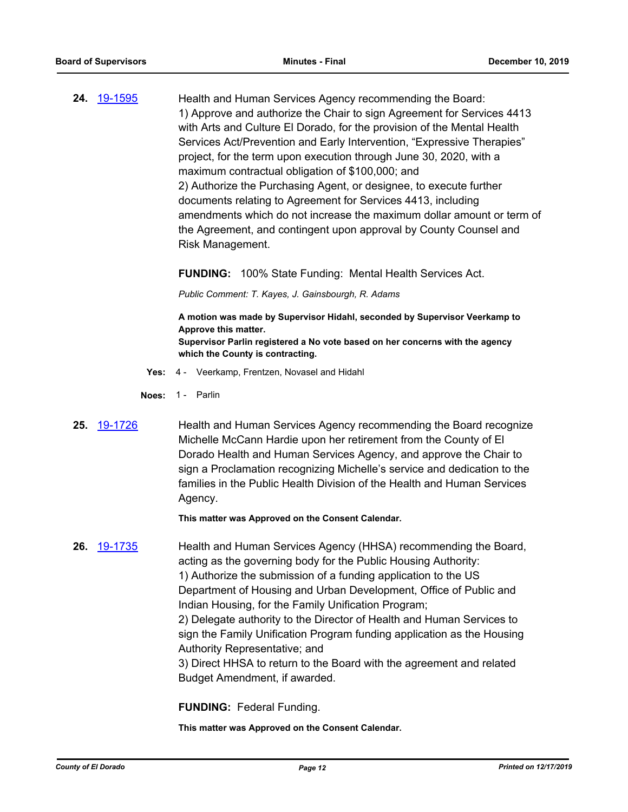**24.** [19-1595](http://eldorado.legistar.com/gateway.aspx?m=l&id=/matter.aspx?key=26919) Health and Human Services Agency recommending the Board: 1) Approve and authorize the Chair to sign Agreement for Services 4413 with Arts and Culture El Dorado, for the provision of the Mental Health Services Act/Prevention and Early Intervention, "Expressive Therapies" project, for the term upon execution through June 30, 2020, with a maximum contractual obligation of \$100,000; and 2) Authorize the Purchasing Agent, or designee, to execute further documents relating to Agreement for Services 4413, including amendments which do not increase the maximum dollar amount or term of the Agreement, and contingent upon approval by County Counsel and Risk Management.

**FUNDING:** 100% State Funding: Mental Health Services Act.

*Public Comment: T. Kayes, J. Gainsbourgh, R. Adams*

**A motion was made by Supervisor Hidahl, seconded by Supervisor Veerkamp to Approve this matter. Supervisor Parlin registered a No vote based on her concerns with the agency which the County is contracting.**

- **Yes:** 4 Veerkamp, Frentzen, Novasel and Hidahl
- **Noes:** 1 Parlin
- **25.** [19-1726](http://eldorado.legistar.com/gateway.aspx?m=l&id=/matter.aspx?key=27050) Health and Human Services Agency recommending the Board recognize Michelle McCann Hardie upon her retirement from the County of El Dorado Health and Human Services Agency, and approve the Chair to sign a Proclamation recognizing Michelle's service and dedication to the families in the Public Health Division of the Health and Human Services Agency.

**This matter was Approved on the Consent Calendar.**

**26.** [19-1735](http://eldorado.legistar.com/gateway.aspx?m=l&id=/matter.aspx?key=27059) Health and Human Services Agency (HHSA) recommending the Board, acting as the governing body for the Public Housing Authority: 1) Authorize the submission of a funding application to the US Department of Housing and Urban Development, Office of Public and Indian Housing, for the Family Unification Program; 2) Delegate authority to the Director of Health and Human Services to sign the Family Unification Program funding application as the Housing Authority Representative; and 3) Direct HHSA to return to the Board with the agreement and related Budget Amendment, if awarded.

**FUNDING:** Federal Funding.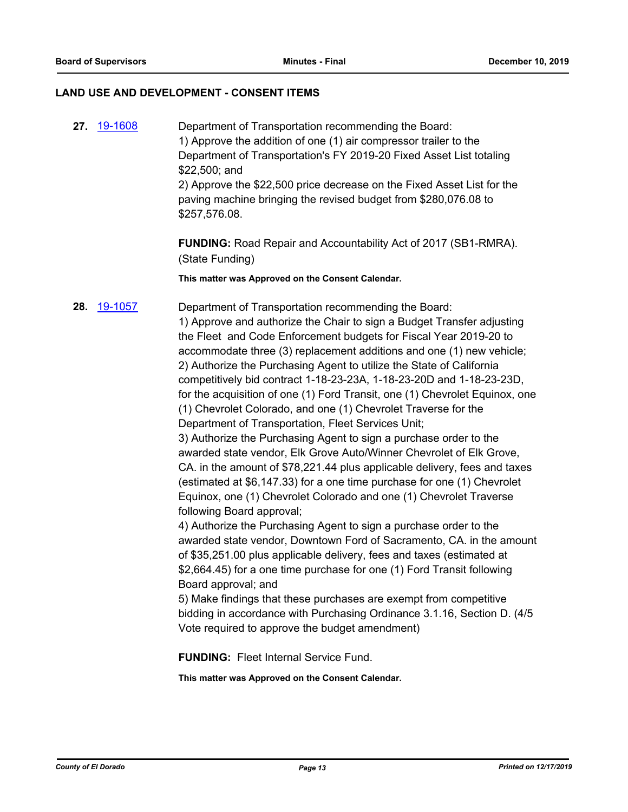### **LAND USE AND DEVELOPMENT - CONSENT ITEMS**

**27.** [19-1608](http://eldorado.legistar.com/gateway.aspx?m=l&id=/matter.aspx?key=26932) Department of Transportation recommending the Board: 1) Approve the addition of one (1) air compressor trailer to the Department of Transportation's FY 2019-20 Fixed Asset List totaling \$22,500; and 2) Approve the \$22,500 price decrease on the Fixed Asset List for the paving machine bringing the revised budget from \$280,076.08 to \$257,576.08. **FUNDING:** Road Repair and Accountability Act of 2017 (SB1-RMRA). (State Funding) **This matter was Approved on the Consent Calendar. 28.** [19-1057](http://eldorado.legistar.com/gateway.aspx?m=l&id=/matter.aspx?key=26379) Department of Transportation recommending the Board: 1) Approve and authorize the Chair to sign a Budget Transfer adjusting the Fleet and Code Enforcement budgets for Fiscal Year 2019-20 to accommodate three (3) replacement additions and one (1) new vehicle; 2) Authorize the Purchasing Agent to utilize the State of California competitively bid contract 1-18-23-23A, 1-18-23-20D and 1-18-23-23D, for the acquisition of one (1) Ford Transit, one (1) Chevrolet Equinox, one (1) Chevrolet Colorado, and one (1) Chevrolet Traverse for the Department of Transportation, Fleet Services Unit; 3) Authorize the Purchasing Agent to sign a purchase order to the awarded state vendor, Elk Grove Auto/Winner Chevrolet of Elk Grove, CA. in the amount of \$78,221.44 plus applicable delivery, fees and taxes (estimated at \$6,147.33) for a one time purchase for one (1) Chevrolet Equinox, one (1) Chevrolet Colorado and one (1) Chevrolet Traverse following Board approval; 4) Authorize the Purchasing Agent to sign a purchase order to the awarded state vendor, Downtown Ford of Sacramento, CA. in the amount of \$35,251.00 plus applicable delivery, fees and taxes (estimated at

\$2,664.45) for a one time purchase for one (1) Ford Transit following Board approval; and 5) Make findings that these purchases are exempt from competitive

bidding in accordance with Purchasing Ordinance 3.1.16, Section D. (4/5 Vote required to approve the budget amendment)

**FUNDING:** Fleet Internal Service Fund.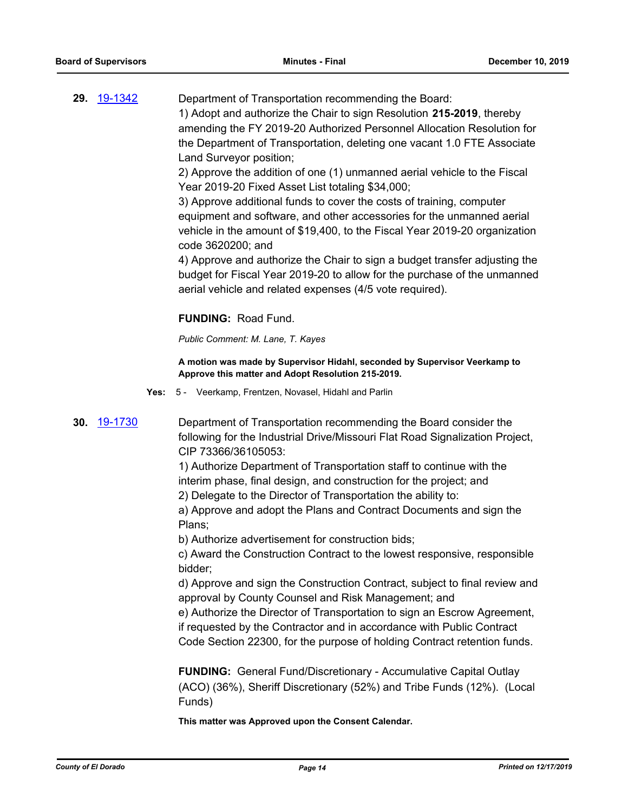**29.** [19-1342](http://eldorado.legistar.com/gateway.aspx?m=l&id=/matter.aspx?key=26663) Department of Transportation recommending the Board: 1) Adopt and authorize the Chair to sign Resolution **215-2019**, thereby amending the FY 2019-20 Authorized Personnel Allocation Resolution for the Department of Transportation, deleting one vacant 1.0 FTE Associate Land Surveyor position;

> 2) Approve the addition of one (1) unmanned aerial vehicle to the Fiscal Year 2019-20 Fixed Asset List totaling \$34,000;

3) Approve additional funds to cover the costs of training, computer equipment and software, and other accessories for the unmanned aerial vehicle in the amount of \$19,400, to the Fiscal Year 2019-20 organization code 3620200; and

4) Approve and authorize the Chair to sign a budget transfer adjusting the budget for Fiscal Year 2019-20 to allow for the purchase of the unmanned aerial vehicle and related expenses (4/5 vote required).

# **FUNDING:** Road Fund.

*Public Comment: M. Lane, T. Kayes*

**A motion was made by Supervisor Hidahl, seconded by Supervisor Veerkamp to Approve this matter and Adopt Resolution 215-2019.**

**Yes:** 5 - Veerkamp, Frentzen, Novasel, Hidahl and Parlin

**30.** [19-1730](http://eldorado.legistar.com/gateway.aspx?m=l&id=/matter.aspx?key=27054) Department of Transportation recommending the Board consider the following for the Industrial Drive/Missouri Flat Road Signalization Project, CIP 73366/36105053:

> 1) Authorize Department of Transportation staff to continue with the interim phase, final design, and construction for the project; and

2) Delegate to the Director of Transportation the ability to:

a) Approve and adopt the Plans and Contract Documents and sign the Plans;

b) Authorize advertisement for construction bids;

c) Award the Construction Contract to the lowest responsive, responsible bidder;

d) Approve and sign the Construction Contract, subject to final review and approval by County Counsel and Risk Management; and

e) Authorize the Director of Transportation to sign an Escrow Agreement, if requested by the Contractor and in accordance with Public Contract

Code Section 22300, for the purpose of holding Contract retention funds.

**FUNDING:** General Fund/Discretionary - Accumulative Capital Outlay (ACO) (36%), Sheriff Discretionary (52%) and Tribe Funds (12%). (Local Funds)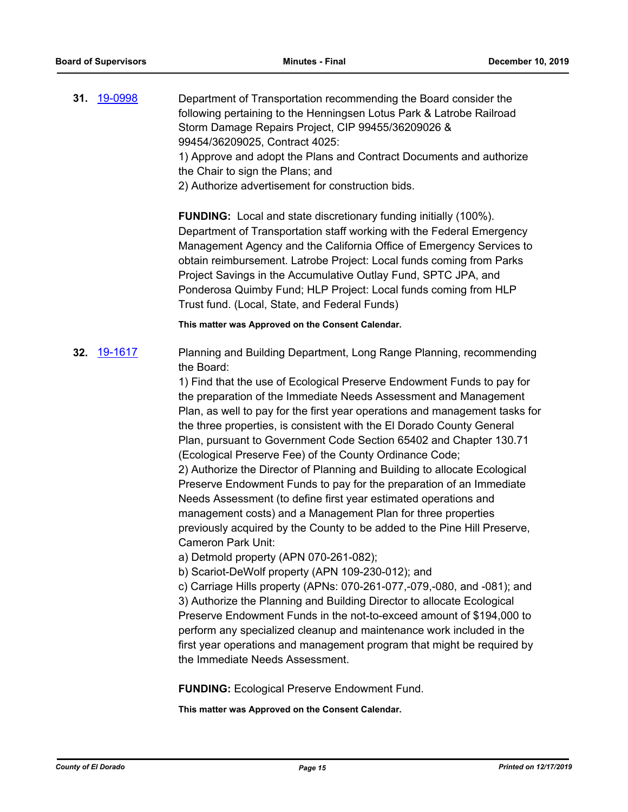**31.** [19-0998](http://eldorado.legistar.com/gateway.aspx?m=l&id=/matter.aspx?key=26321) Department of Transportation recommending the Board consider the following pertaining to the Henningsen Lotus Park & Latrobe Railroad Storm Damage Repairs Project, CIP 99455/36209026 & 99454/36209025, Contract 4025:

1) Approve and adopt the Plans and Contract Documents and authorize the Chair to sign the Plans; and

2) Authorize advertisement for construction bids.

**FUNDING:** Local and state discretionary funding initially (100%). Department of Transportation staff working with the Federal Emergency Management Agency and the California Office of Emergency Services to obtain reimbursement. Latrobe Project: Local funds coming from Parks Project Savings in the Accumulative Outlay Fund, SPTC JPA, and Ponderosa Quimby Fund; HLP Project: Local funds coming from HLP Trust fund. (Local, State, and Federal Funds)

**This matter was Approved on the Consent Calendar.**

**32.** [19-1617](http://eldorado.legistar.com/gateway.aspx?m=l&id=/matter.aspx?key=26941) Planning and Building Department, Long Range Planning, recommending the Board:

> 1) Find that the use of Ecological Preserve Endowment Funds to pay for the preparation of the Immediate Needs Assessment and Management Plan, as well to pay for the first year operations and management tasks for the three properties, is consistent with the El Dorado County General Plan, pursuant to Government Code Section 65402 and Chapter 130.71 (Ecological Preserve Fee) of the County Ordinance Code; 2) Authorize the Director of Planning and Building to allocate Ecological Preserve Endowment Funds to pay for the preparation of an Immediate Needs Assessment (to define first year estimated operations and management costs) and a Management Plan for three properties previously acquired by the County to be added to the Pine Hill Preserve, Cameron Park Unit:

a) Detmold property (APN 070-261-082);

b) Scariot-DeWolf property (APN 109-230-012); and

c) Carriage Hills property (APNs: 070-261-077,-079,-080, and -081); and 3) Authorize the Planning and Building Director to allocate Ecological Preserve Endowment Funds in the not-to-exceed amount of \$194,000 to perform any specialized cleanup and maintenance work included in the first year operations and management program that might be required by the Immediate Needs Assessment.

**FUNDING:** Ecological Preserve Endowment Fund.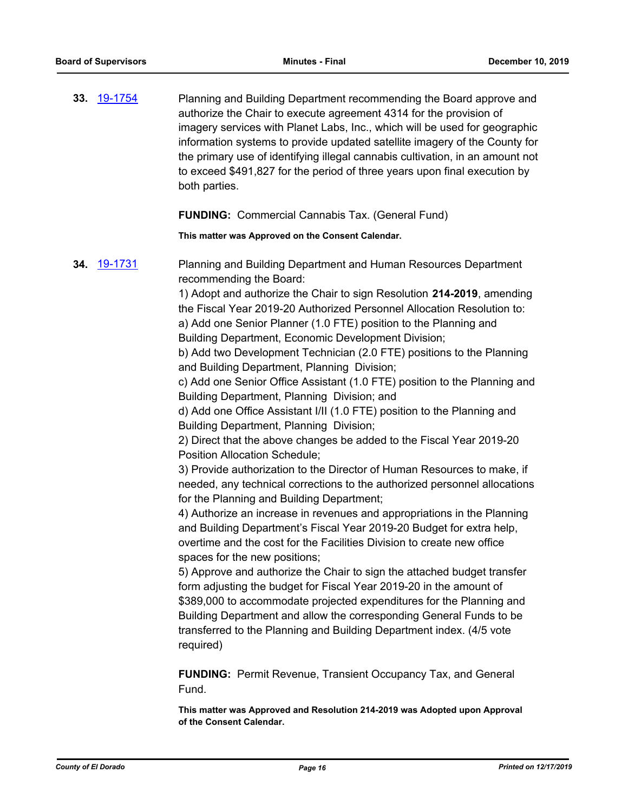**33.** [19-1754](http://eldorado.legistar.com/gateway.aspx?m=l&id=/matter.aspx?key=27078) Planning and Building Department recommending the Board approve and authorize the Chair to execute agreement 4314 for the provision of imagery services with Planet Labs, Inc., which will be used for geographic information systems to provide updated satellite imagery of the County for the primary use of identifying illegal cannabis cultivation, in an amount not to exceed \$491,827 for the period of three years upon final execution by both parties.

### **FUNDING:** Commercial Cannabis Tax. (General Fund)

#### **This matter was Approved on the Consent Calendar.**

**34.** [19-1731](http://eldorado.legistar.com/gateway.aspx?m=l&id=/matter.aspx?key=27055) Planning and Building Department and Human Resources Department recommending the Board:

> 1) Adopt and authorize the Chair to sign Resolution **214-2019**, amending the Fiscal Year 2019-20 Authorized Personnel Allocation Resolution to: a) Add one Senior Planner (1.0 FTE) position to the Planning and

Building Department, Economic Development Division;

b) Add two Development Technician (2.0 FTE) positions to the Planning and Building Department, Planning Division;

c) Add one Senior Office Assistant (1.0 FTE) position to the Planning and Building Department, Planning Division; and

d) Add one Office Assistant I/II (1.0 FTE) position to the Planning and Building Department, Planning Division;

2) Direct that the above changes be added to the Fiscal Year 2019-20 Position Allocation Schedule;

3) Provide authorization to the Director of Human Resources to make, if needed, any technical corrections to the authorized personnel allocations for the Planning and Building Department;

4) Authorize an increase in revenues and appropriations in the Planning and Building Department's Fiscal Year 2019-20 Budget for extra help, overtime and the cost for the Facilities Division to create new office spaces for the new positions;

5) Approve and authorize the Chair to sign the attached budget transfer form adjusting the budget for Fiscal Year 2019-20 in the amount of \$389,000 to accommodate projected expenditures for the Planning and Building Department and allow the corresponding General Funds to be transferred to the Planning and Building Department index. (4/5 vote required)

**FUNDING:** Permit Revenue, Transient Occupancy Tax, and General Fund.

**This matter was Approved and Resolution 214-2019 was Adopted upon Approval of the Consent Calendar.**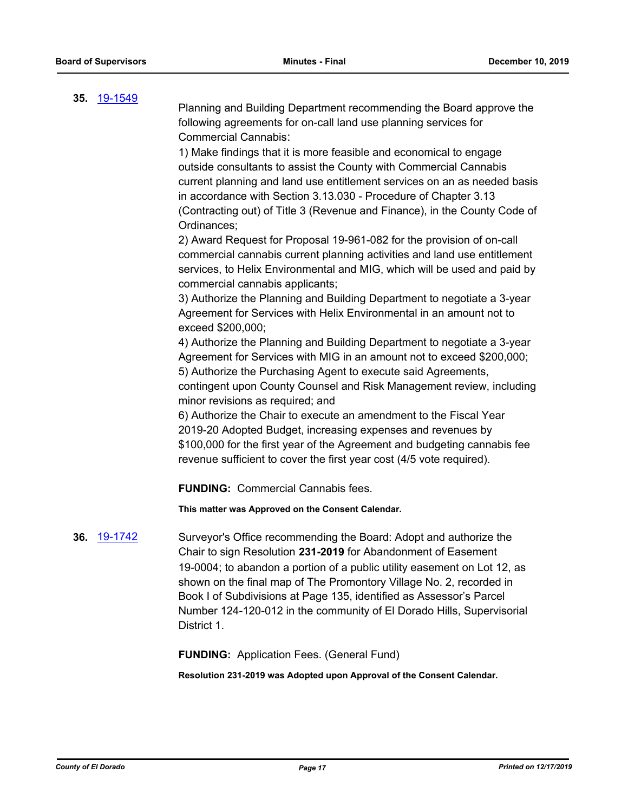# **35.** [19-1549](http://eldorado.legistar.com/gateway.aspx?m=l&id=/matter.aspx?key=26871)

Planning and Building Department recommending the Board approve the following agreements for on-call land use planning services for Commercial Cannabis:

1) Make findings that it is more feasible and economical to engage outside consultants to assist the County with Commercial Cannabis current planning and land use entitlement services on an as needed basis in accordance with Section 3.13.030 - Procedure of Chapter 3.13 (Contracting out) of Title 3 (Revenue and Finance), in the County Code of Ordinances;

2) Award Request for Proposal 19-961-082 for the provision of on-call commercial cannabis current planning activities and land use entitlement services, to Helix Environmental and MIG, which will be used and paid by commercial cannabis applicants;

3) Authorize the Planning and Building Department to negotiate a 3-year Agreement for Services with Helix Environmental in an amount not to exceed \$200,000;

4) Authorize the Planning and Building Department to negotiate a 3-year Agreement for Services with MIG in an amount not to exceed \$200,000; 5) Authorize the Purchasing Agent to execute said Agreements, contingent upon County Counsel and Risk Management review, including minor revisions as required; and

6) Authorize the Chair to execute an amendment to the Fiscal Year 2019-20 Adopted Budget, increasing expenses and revenues by \$100,000 for the first year of the Agreement and budgeting cannabis fee revenue sufficient to cover the first year cost (4/5 vote required).

**FUNDING:** Commercial Cannabis fees.

**This matter was Approved on the Consent Calendar.**

**36.** [19-1742](http://eldorado.legistar.com/gateway.aspx?m=l&id=/matter.aspx?key=27066) Surveyor's Office recommending the Board: Adopt and authorize the Chair to sign Resolution **231-2019** for Abandonment of Easement 19-0004; to abandon a portion of a public utility easement on Lot 12, as shown on the final map of The Promontory Village No. 2, recorded in Book I of Subdivisions at Page 135, identified as Assessor's Parcel Number 124-120-012 in the community of El Dorado Hills, Supervisorial District 1.

**FUNDING:** Application Fees. (General Fund)

**Resolution 231-2019 was Adopted upon Approval of the Consent Calendar.**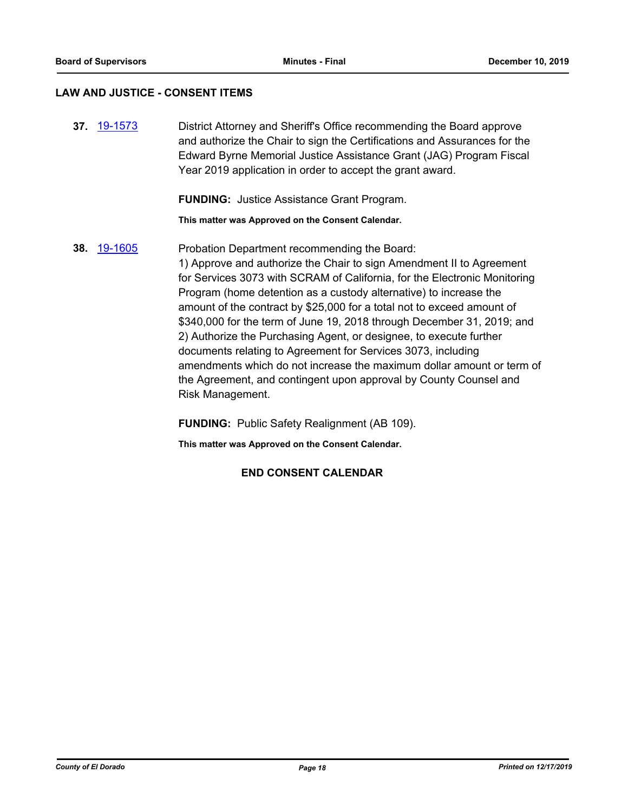#### **LAW AND JUSTICE - CONSENT ITEMS**

**37.** [19-1573](http://eldorado.legistar.com/gateway.aspx?m=l&id=/matter.aspx?key=26897) District Attorney and Sheriff's Office recommending the Board approve and authorize the Chair to sign the Certifications and Assurances for the Edward Byrne Memorial Justice Assistance Grant (JAG) Program Fiscal Year 2019 application in order to accept the grant award.

**FUNDING:** Justice Assistance Grant Program.

**This matter was Approved on the Consent Calendar.**

**38.** [19-1605](http://eldorado.legistar.com/gateway.aspx?m=l&id=/matter.aspx?key=26929) Probation Department recommending the Board: 1) Approve and authorize the Chair to sign Amendment II to Agreement for Services 3073 with SCRAM of California, for the Electronic Monitoring Program (home detention as a custody alternative) to increase the amount of the contract by \$25,000 for a total not to exceed amount of \$340,000 for the term of June 19, 2018 through December 31, 2019; and 2) Authorize the Purchasing Agent, or designee, to execute further documents relating to Agreement for Services 3073, including amendments which do not increase the maximum dollar amount or term of the Agreement, and contingent upon approval by County Counsel and Risk Management.

**FUNDING:** Public Safety Realignment (AB 109).

**This matter was Approved on the Consent Calendar.**

# **END CONSENT CALENDAR**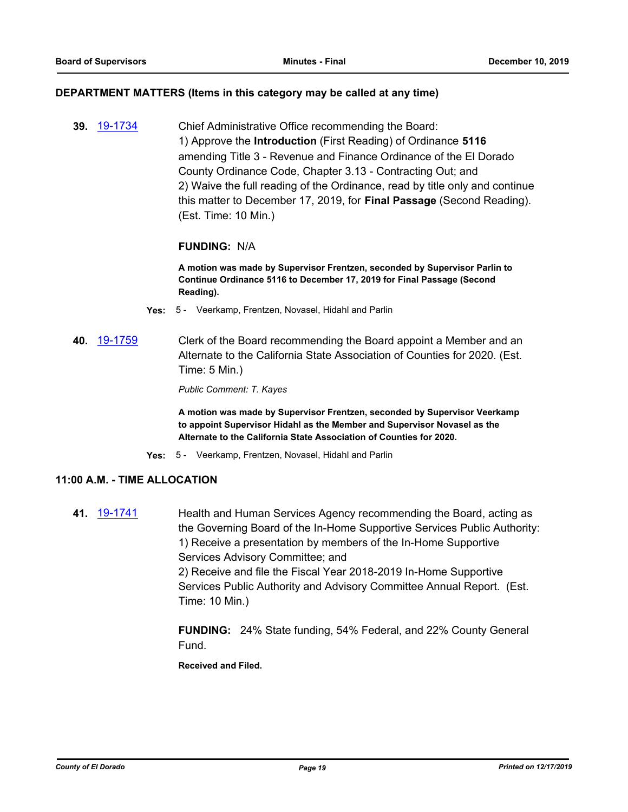#### **DEPARTMENT MATTERS (Items in this category may be called at any time)**

**39.** [19-1734](http://eldorado.legistar.com/gateway.aspx?m=l&id=/matter.aspx?key=27058) Chief Administrative Office recommending the Board: 1) Approve the **Introduction** (First Reading) of Ordinance **5116**  amending Title 3 - Revenue and Finance Ordinance of the El Dorado County Ordinance Code, Chapter 3.13 - Contracting Out; and 2) Waive the full reading of the Ordinance, read by title only and continue this matter to December 17, 2019, for **Final Passage** (Second Reading). (Est. Time: 10 Min.)

# **FUNDING:** N/A

**A motion was made by Supervisor Frentzen, seconded by Supervisor Parlin to Continue Ordinance 5116 to December 17, 2019 for Final Passage (Second Reading).**

- **Yes:** 5 Veerkamp, Frentzen, Novasel, Hidahl and Parlin
- **40.** [19-1759](http://eldorado.legistar.com/gateway.aspx?m=l&id=/matter.aspx?key=27083) Clerk of the Board recommending the Board appoint a Member and an Alternate to the California State Association of Counties for 2020. (Est. Time: 5 Min.)

*Public Comment: T. Kayes*

**A motion was made by Supervisor Frentzen, seconded by Supervisor Veerkamp to appoint Supervisor Hidahl as the Member and Supervisor Novasel as the Alternate to the California State Association of Counties for 2020.**

**Yes:** 5 - Veerkamp, Frentzen, Novasel, Hidahl and Parlin

# **11:00 A.M. - TIME ALLOCATION**

**41.** [19-1741](http://eldorado.legistar.com/gateway.aspx?m=l&id=/matter.aspx?key=27065) Health and Human Services Agency recommending the Board, acting as the Governing Board of the In-Home Supportive Services Public Authority: 1) Receive a presentation by members of the In-Home Supportive Services Advisory Committee; and 2) Receive and file the Fiscal Year 2018-2019 In-Home Supportive Services Public Authority and Advisory Committee Annual Report. (Est. Time: 10 Min.)

> **FUNDING:** 24% State funding, 54% Federal, and 22% County General Fund.

**Received and Filed.**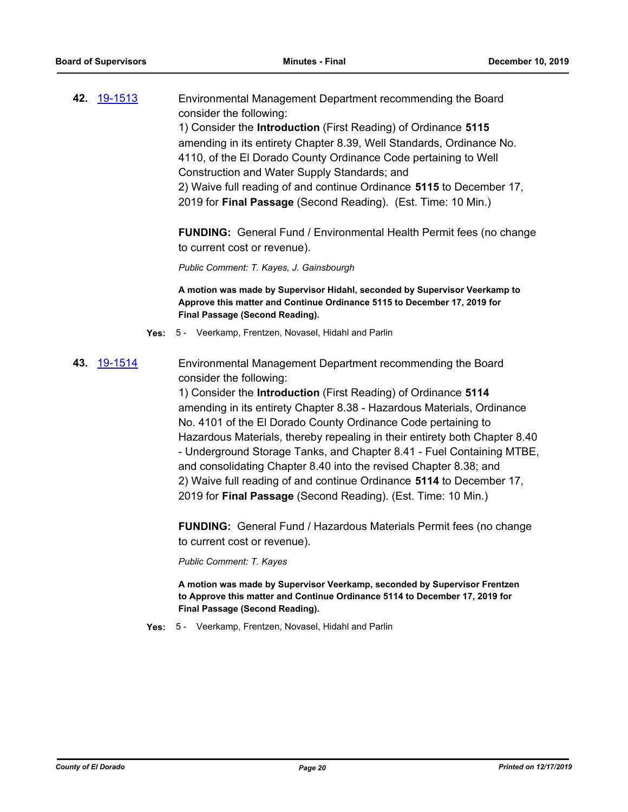| 42. 19-1513 |             |      | Environmental Management Department recommending the Board<br>consider the following:<br>1) Consider the Introduction (First Reading) of Ordinance 5115<br>amending in its entirety Chapter 8.39, Well Standards, Ordinance No.<br>4110, of the El Dorado County Ordinance Code pertaining to Well<br>Construction and Water Supply Standards; and<br>2) Waive full reading of and continue Ordinance 5115 to December 17,<br>2019 for Final Passage (Second Reading). (Est. Time: 10 Min.)                                                                                                                                                                                                                                                                                                                                                                                                                                                                                                                            |
|-------------|-------------|------|------------------------------------------------------------------------------------------------------------------------------------------------------------------------------------------------------------------------------------------------------------------------------------------------------------------------------------------------------------------------------------------------------------------------------------------------------------------------------------------------------------------------------------------------------------------------------------------------------------------------------------------------------------------------------------------------------------------------------------------------------------------------------------------------------------------------------------------------------------------------------------------------------------------------------------------------------------------------------------------------------------------------|
|             |             |      | <b>FUNDING:</b> General Fund / Environmental Health Permit fees (no change<br>to current cost or revenue).                                                                                                                                                                                                                                                                                                                                                                                                                                                                                                                                                                                                                                                                                                                                                                                                                                                                                                             |
|             |             |      | Public Comment: T. Kayes, J. Gainsbourgh                                                                                                                                                                                                                                                                                                                                                                                                                                                                                                                                                                                                                                                                                                                                                                                                                                                                                                                                                                               |
|             |             |      | A motion was made by Supervisor Hidahl, seconded by Supervisor Veerkamp to<br>Approve this matter and Continue Ordinance 5115 to December 17, 2019 for<br>Final Passage (Second Reading).                                                                                                                                                                                                                                                                                                                                                                                                                                                                                                                                                                                                                                                                                                                                                                                                                              |
|             |             | Yes: | 5 - Veerkamp, Frentzen, Novasel, Hidahl and Parlin                                                                                                                                                                                                                                                                                                                                                                                                                                                                                                                                                                                                                                                                                                                                                                                                                                                                                                                                                                     |
|             | 43. 19-1514 |      | Environmental Management Department recommending the Board<br>consider the following:<br>1) Consider the Introduction (First Reading) of Ordinance 5114<br>amending in its entirety Chapter 8.38 - Hazardous Materials, Ordinance<br>No. 4101 of the El Dorado County Ordinance Code pertaining to<br>Hazardous Materials, thereby repealing in their entirety both Chapter 8.40<br>- Underground Storage Tanks, and Chapter 8.41 - Fuel Containing MTBE,<br>and consolidating Chapter 8.40 into the revised Chapter 8.38; and<br>2) Waive full reading of and continue Ordinance 5114 to December 17,<br>2019 for Final Passage (Second Reading). (Est. Time: 10 Min.)<br><b>FUNDING:</b> General Fund / Hazardous Materials Permit fees (no change<br>to current cost or revenue).<br>Public Comment: T. Kayes<br>A motion was made by Supervisor Veerkamp, seconded by Supervisor Frentzen<br>to Approve this matter and Continue Ordinance 5114 to December 17, 2019 for<br><b>Final Passage (Second Reading).</b> |

**Yes:** 5 - Veerkamp, Frentzen, Novasel, Hidahl and Parlin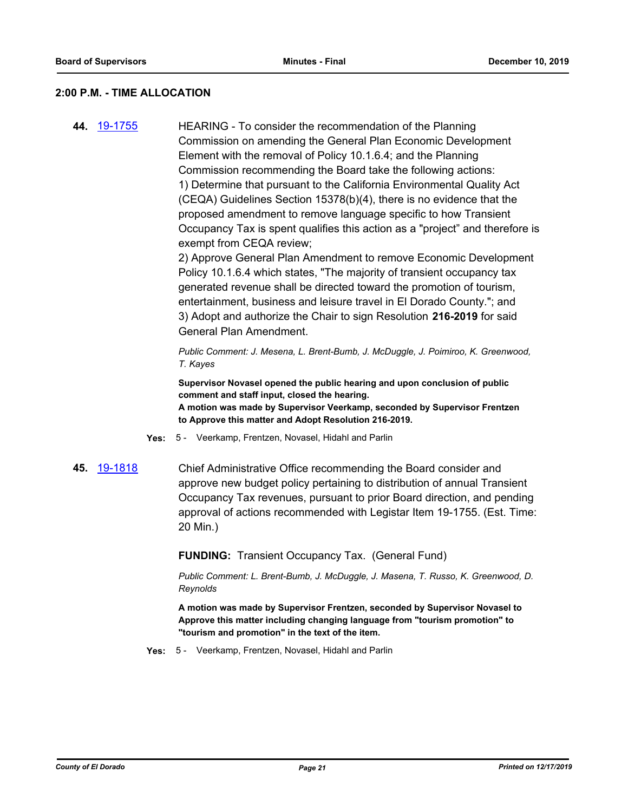#### **2:00 P.M. - TIME ALLOCATION**

**44.** [19-1755](http://eldorado.legistar.com/gateway.aspx?m=l&id=/matter.aspx?key=27079) HEARING - To consider the recommendation of the Planning Commission on amending the General Plan Economic Development Element with the removal of Policy 10.1.6.4; and the Planning Commission recommending the Board take the following actions: 1) Determine that pursuant to the California Environmental Quality Act (CEQA) Guidelines Section 15378(b)(4), there is no evidence that the proposed amendment to remove language specific to how Transient Occupancy Tax is spent qualifies this action as a "project" and therefore is exempt from CEQA review;

> 2) Approve General Plan Amendment to remove Economic Development Policy 10.1.6.4 which states, "The majority of transient occupancy tax generated revenue shall be directed toward the promotion of tourism, entertainment, business and leisure travel in El Dorado County."; and 3) Adopt and authorize the Chair to sign Resolution **216-2019** for said General Plan Amendment.

*Public Comment: J. Mesena, L. Brent-Bumb, J. McDuggle, J. Poimiroo, K. Greenwood, T. Kayes*

**Supervisor Novasel opened the public hearing and upon conclusion of public comment and staff input, closed the hearing. A motion was made by Supervisor Veerkamp, seconded by Supervisor Frentzen to Approve this matter and Adopt Resolution 216-2019.**

- **Yes:** 5 Veerkamp, Frentzen, Novasel, Hidahl and Parlin
- **45.** [19-1818](http://eldorado.legistar.com/gateway.aspx?m=l&id=/matter.aspx?key=27142) Chief Administrative Office recommending the Board consider and approve new budget policy pertaining to distribution of annual Transient Occupancy Tax revenues, pursuant to prior Board direction, and pending approval of actions recommended with Legistar Item 19-1755. (Est. Time: 20 Min.)

**FUNDING:** Transient Occupancy Tax. (General Fund)

*Public Comment: L. Brent-Bumb, J. McDuggle, J. Masena, T. Russo, K. Greenwood, D. Reynolds*

**A motion was made by Supervisor Frentzen, seconded by Supervisor Novasel to Approve this matter including changing language from "tourism promotion" to "tourism and promotion" in the text of the item.**

**Yes:** 5 - Veerkamp, Frentzen, Novasel, Hidahl and Parlin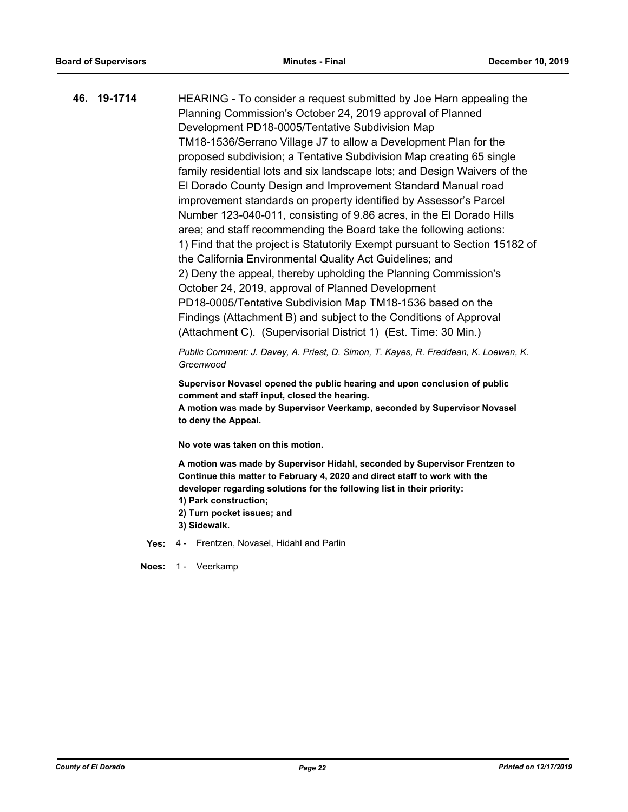| 46. 19-1714 | HEARING - To consider a request submitted by Joe Harn appealing the         |
|-------------|-----------------------------------------------------------------------------|
|             | Planning Commission's October 24, 2019 approval of Planned                  |
|             | Development PD18-0005/Tentative Subdivision Map                             |
|             | TM18-1536/Serrano Village J7 to allow a Development Plan for the            |
|             | proposed subdivision; a Tentative Subdivision Map creating 65 single        |
|             | family residential lots and six landscape lots; and Design Waivers of the   |
|             | El Dorado County Design and Improvement Standard Manual road                |
|             | improvement standards on property identified by Assessor's Parcel           |
|             | Number 123-040-011, consisting of 9.86 acres, in the El Dorado Hills        |
|             | area; and staff recommending the Board take the following actions:          |
|             | 1) Find that the project is Statutorily Exempt pursuant to Section 15182 of |
|             | the California Environmental Quality Act Guidelines; and                    |
|             | 2) Deny the appeal, thereby upholding the Planning Commission's             |
|             | October 24, 2019, approval of Planned Development                           |
|             | PD18-0005/Tentative Subdivision Map TM18-1536 based on the                  |
|             | Findings (Attachment B) and subject to the Conditions of Approval           |
|             | (Attachment C). (Supervisorial District 1) (Est. Time: 30 Min.)             |
|             |                                                                             |

*Public Comment: J. Davey, A. Priest, D. Simon, T. Kayes, R. Freddean, K. Loewen, K. Greenwood*

**Supervisor Novasel opened the public hearing and upon conclusion of public comment and staff input, closed the hearing.**

**A motion was made by Supervisor Veerkamp, seconded by Supervisor Novasel to deny the Appeal.**

**No vote was taken on this motion.**

**A motion was made by Supervisor Hidahl, seconded by Supervisor Frentzen to Continue this matter to February 4, 2020 and direct staff to work with the developer regarding solutions for the following list in their priority: 1) Park construction;**

- **2) Turn pocket issues; and**
- **3) Sidewalk.**

**Yes:** 4 - Frentzen, Novasel, Hidahl and Parlin

**Noes:** 1 - Veerkamp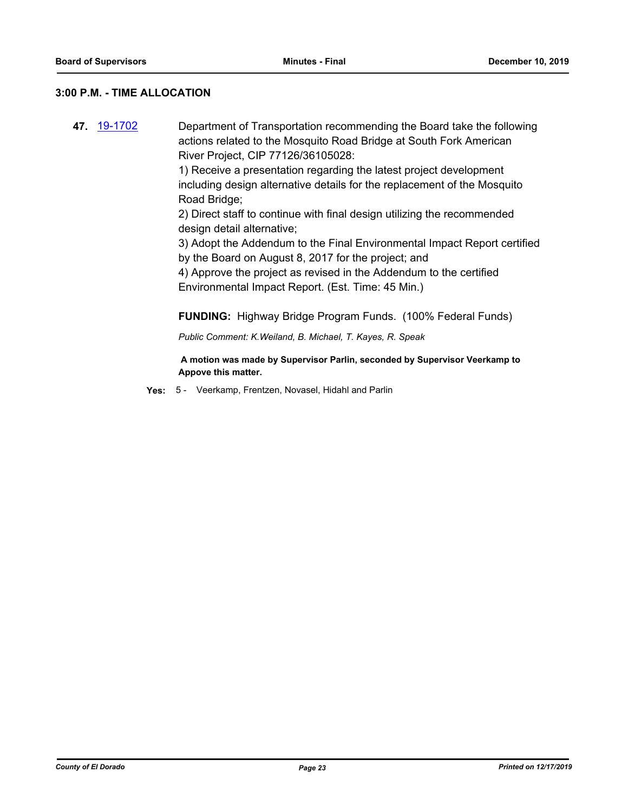### **3:00 P.M. - TIME ALLOCATION**

**47.** [19-1702](http://eldorado.legistar.com/gateway.aspx?m=l&id=/matter.aspx?key=27026) Department of Transportation recommending the Board take the following actions related to the Mosquito Road Bridge at South Fork American River Project, CIP 77126/36105028:

> 1) Receive a presentation regarding the latest project development including design alternative details for the replacement of the Mosquito Road Bridge;

2) Direct staff to continue with final design utilizing the recommended design detail alternative;

3) Adopt the Addendum to the Final Environmental Impact Report certified by the Board on August 8, 2017 for the project; and

4) Approve the project as revised in the Addendum to the certified Environmental Impact Report. (Est. Time: 45 Min.)

**FUNDING:** Highway Bridge Program Funds. (100% Federal Funds)

*Public Comment: K.Weiland, B. Michael, T. Kayes, R. Speak*

 **A motion was made by Supervisor Parlin, seconded by Supervisor Veerkamp to Appove this matter.**

**Yes:** 5 - Veerkamp, Frentzen, Novasel, Hidahl and Parlin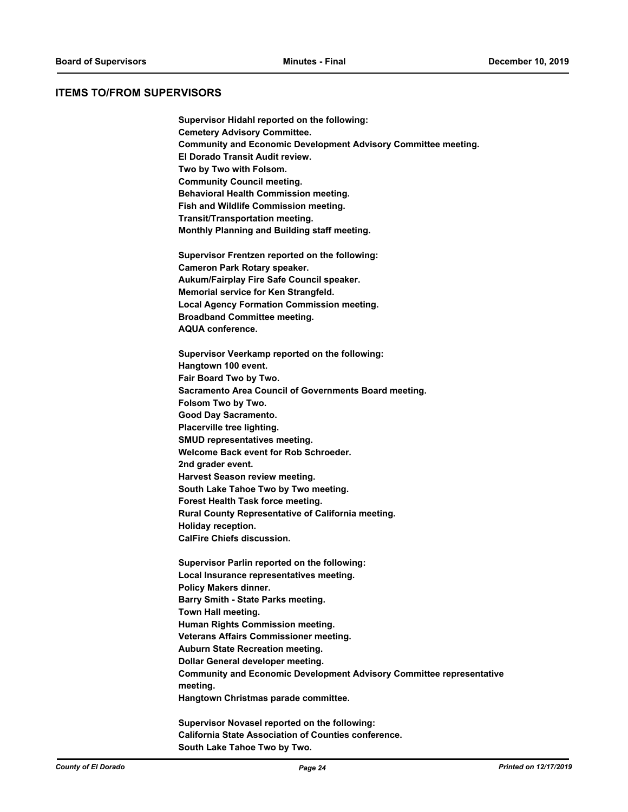#### **ITEMS TO/FROM SUPERVISORS**

**Supervisor Hidahl reported on the following: Cemetery Advisory Committee. Community and Economic Development Advisory Committee meeting. El Dorado Transit Audit review. Two by Two with Folsom. Community Council meeting. Behavioral Health Commission meeting. Fish and Wildlife Commission meeting. Transit/Transportation meeting. Monthly Planning and Building staff meeting.**

**Supervisor Frentzen reported on the following: Cameron Park Rotary speaker. Aukum/Fairplay Fire Safe Council speaker. Memorial service for Ken Strangfeld. Local Agency Formation Commission meeting. Broadband Committee meeting. AQUA conference.**

**Supervisor Veerkamp reported on the following: Hangtown 100 event. Fair Board Two by Two. Sacramento Area Council of Governments Board meeting. Folsom Two by Two. Good Day Sacramento. Placerville tree lighting. SMUD representatives meeting. Welcome Back event for Rob Schroeder. 2nd grader event. Harvest Season review meeting. South Lake Tahoe Two by Two meeting. Forest Health Task force meeting. Rural County Representative of California meeting. Holiday reception. CalFire Chiefs discussion.**

**Supervisor Parlin reported on the following: Local Insurance representatives meeting. Policy Makers dinner. Barry Smith - State Parks meeting. Town Hall meeting. Human Rights Commission meeting. Veterans Affairs Commissioner meeting. Auburn State Recreation meeting. Dollar General developer meeting. Community and Economic Development Advisory Committee representative meeting. Hangtown Christmas parade committee.**

**Supervisor Novasel reported on the following: California State Association of Counties conference. South Lake Tahoe Two by Two.**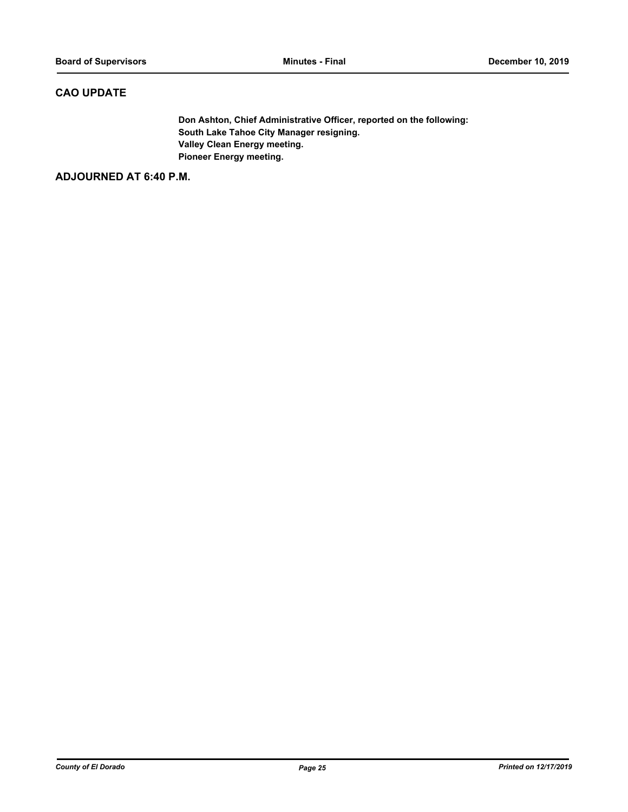# **CAO UPDATE**

**Don Ashton, Chief Administrative Officer, reported on the following: South Lake Tahoe City Manager resigning. Valley Clean Energy meeting. Pioneer Energy meeting.**

**ADJOURNED AT 6:40 P.M.**